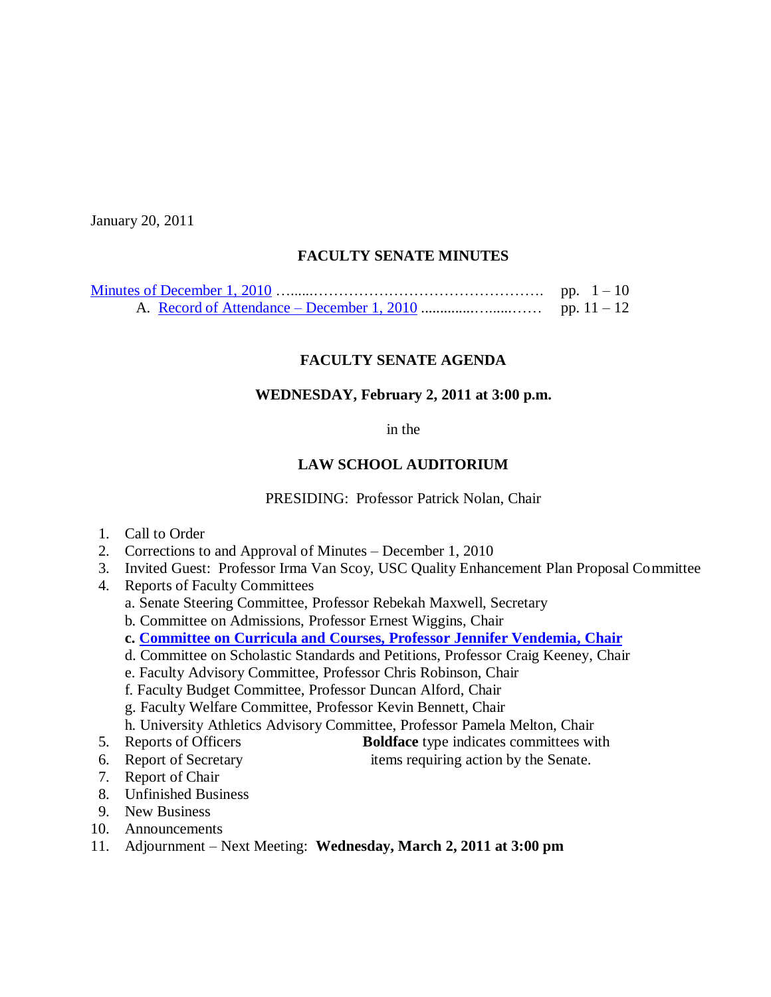January 20, 2011

### **FACULTY SENATE MINUTES**

### **FACULTY SENATE AGENDA**

#### **WEDNESDAY, February 2, 2011 at 3:00 p.m.**

in the

### **LAW SCHOOL AUDITORIUM**

PRESIDING: Professor Patrick Nolan, Chair

- 1. Call to Order
- 2. Corrections to and Approval of Minutes December 1, 2010
- 3. Invited Guest: Professor Irma Van Scoy, USC Quality Enhancement Plan Proposal Committee

4. Reports of Faculty Committees

- a. Senate Steering Committee, Professor Rebekah Maxwell, Secretary
- b. Committee on Admissions, Professor Ernest Wiggins, Chair
- **c. [Committee on Curricula and Courses, Professor](http://www.sc.edu/faculty/senate/11/agenda/0202.cc.pdf) Jennifer Vendemia, Chair**
- d. Committee on Scholastic Standards and Petitions, Professor Craig Keeney, Chair
- e. Faculty Advisory Committee, Professor Chris Robinson, Chair
- f. Faculty Budget Committee, Professor Duncan Alford, Chair
- g. Faculty Welfare Committee, Professor Kevin Bennett, Chair
- h. University Athletics Advisory Committee, Professor Pamela Melton, Chair
- 5. Reports of Officers **Boldface** type indicates committees with
- 6. Report of Secretary items requiring action by the Senate.
- 7. Report of Chair
- 8. Unfinished Business
- 9. New Business
- 10. Announcements
- 11. Adjournment Next Meeting: **Wednesday, March 2, 2011 at 3:00 pm**